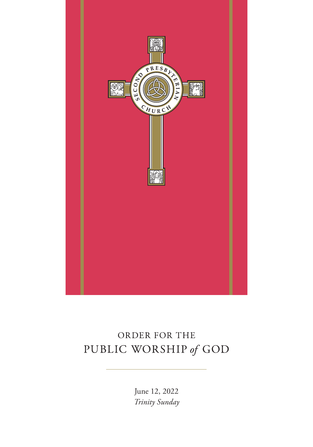

## ORDER FOR THE PUBLIC WORSHIP of GOD

June 12, 2022 *Trinity Sunday*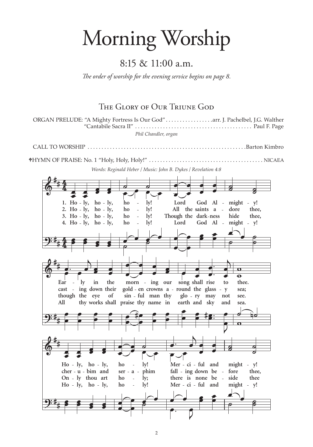# Morning Worship

## 8:15 & 11:00 a.m.

*The order of worship for the evening service begins on page 8.*

## The Glory of Our Triune God

ORGAN PRELUDE: "A Mighty Fortress Is Our God" . . . . . . . . . . . . . . . . arr. J. Pachelbel, J.G. Walther "Cantabile Sacra II" . . . . . . . . . . . . . . . . . . . . . . . . . . . . . . . . . . . . . . . . . . Paul F. Page *Phil Chandler, organ* CALL TO WORSHIP . . . . . . . . . . . . . . . . . . . . . . . . . . . . . . . . . . . . . . . . . . . . . . . . . . . . . . . . Barton Kimbro GOD OUR FATHER HIS PERFECTIONS WHYMN OF PRAISE: No. 1 "Holy, Holy, Holy!" . . . . . . . . . . . . . . . . . . . . . . . . . . . . . . . . . . . . . . . . . NICAEA Holy, Holy, Holy! 1 *Words: Reginald Heber / Music: John B. Dykes / Revelation 4:8* **1. Ho ly, ho ly, ho ly! Lord God Al might y! 2. Ho ly, ho ly, ho ly! All the saints a dore thee, 3. Ho ly, ho ly, ho ly! Though the dark ness hide thee, 4. Ho ly, ho ly, ho ly! Lord God Al might y!**  $\overline{\mathbf{e}}$ **Ear ly in the morn ing our song shall rise to thee. cast ing down their gold en crowns a round the glass y sea; though the eye of sin ful man thy glo ry may not see. All thy works shall praise thy name in earth and sky and sea.** 不 **Ho ly, ho ly, ho ly! Mer ci ful and might y! cher u bim and ser a phim fall ing down be fore thee, On ly thou art ho ly; there is none be side thee**  $Ho - ly$ ,  $ho - ly$ ,  $ho - ly$ !  $V!$  Mer - ci - ful and might - y!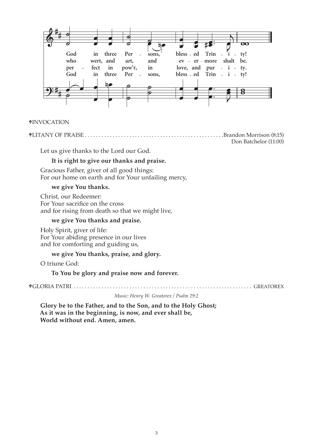

#### **\*INVOCATION**

Don Batchelor (11:00)

Let us give thanks to the Lord our God.

#### **It is right to give our thanks and praise.**

Gracious Father, giver of all good things: For our home on earth and for Your unfailing mercy,

#### **we give You thanks.**

Christ, our Redeemer: For Your sacrifice on the cross and for rising from death so that we might live,

#### **we give You thanks and praise.**

Holy Spirit, giver of life: For Your abiding presence in our lives and for comforting and guiding us,

#### **we give You thanks, praise, and glory.**

O triune God:

**To You be glory and praise now and forever.**

WGLORIA PATRI . . . . . . . . . . . . . . . . . . . . . . . . . . . . . . . . . . . . . . . . . . . . . . . . . . . . . . . . . . . . . . . . GREATOREX

*Music: Henry W. Greatorex / Psalm 29:2*

**Glory be to the Father, and to the Son, and to the Holy Ghost; As it was in the beginning, is now, and ever shall be, World without end. Amen, amen.**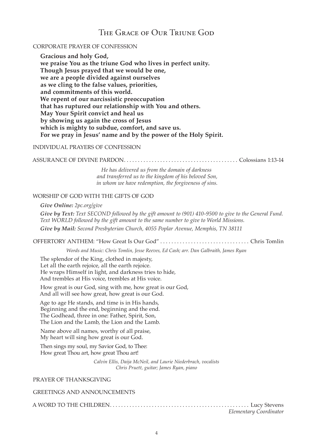## The Grace of Our Triune God

#### CORPORATE PRAYER OF CONFESSION

**Gracious and holy God, we praise You as the triune God who lives in perfect unity. Though Jesus prayed that we would be one, we are a people divided against ourselves as we cling to the false values, priorities, and commitments of this world. We repent of our narcissistic preoccupation that has ruptured our relationship with You and others. May Your Spirit convict and heal us by showing us again the cross of Jesus which is mighty to subdue, comfort, and save us. For we pray in Jesus' name and by the power of the Holy Spirit.**

#### INDIVIDUAL PRAYERS OF CONFESSION

ASSURANCE OF DIVINE PARDON . . . . . . . . . . . . . . . . . . . . . . . . . . . . . . . . . . . . . . . . . Colossians 1:13-14

*He has delivered us from the domain of darkness and transferred us to the kingdom of his beloved Son, in whom we have redemption, the forgiveness of sins.*

#### WORSHIP OF GOD WITH THE GIFTS OF GOD

*Give Online: 2pc.org/give*

*Give by Text: Text SECOND followed by the gift amount to (901) 410-9500 to give to the General Fund. Text WORLD followed by the gift amount to the same number to give to World Missions. Give by Mail: Second Presbyterian Church, 4055 Poplar Avenue, Memphis, TN 38111*

OFFERTORY ANTHEM: "How Great Is Our God" . . . . . . . . . . . . . . . . . . . . . . . . . . . . . . . . Chris Tomlin

*Words and Music: Chris Tomlin, Jesse Reeves, Ed Cash; arr. Dan Galbraith, James Ryan*

The splendor of the King, clothed in majesty, Let all the earth rejoice, all the earth rejoice. He wraps Himself in light, and darkness tries to hide, And trembles at His voice, trembles at His voice.

How great is our God, sing with me, how great is our God, And all will see how great, how great is our God.

Age to age He stands, and time is in His hands, Beginning and the end, beginning and the end. The Godhead, three in one: Father, Spirit, Son, The Lion and the Lamb, the Lion and the Lamb.

Name above all names, worthy of all praise, My heart will sing how great is our God.

Then sings my soul, my Savior God, to Thee: How great Thou art, how great Thou art!

> *Calvin Ellis, Daija McNeil, and Laurie Niederbrach, vocalists Chris Pruett, guitar; James Ryan, piano*

#### PRAYER OF THANKSGIVING

#### GREETINGS AND ANNOUNCEMENTS

A WORD TO THE CHILDREN . . . . . . . . . . . . . . . . . . . . . . . . . . . . . . . . . . . . . . . . . . . . . . . . . . Lucy Stevens *Elementary Coordinator*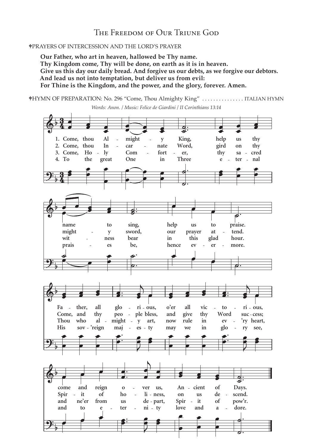## The Freedom of Our Triune God

#### WPRAYERS OF INTERCESSION AND THE LORD'S PRAYER

**Our Father, who art in heaven, hallowed be Thy name. Thy Kingdom come, Thy will be done, on earth as it is in heaven. Give us this day our daily bread. And forgive us our debts, as we forgive our debtors. And lead us not into temptation, but deliver us from evil:** For Thine is the Kingdom, and the power, and the glory, forever. Amen.

WHYMN OF PREPARATION: No. 296 "Come, Thou Almighty King" . . . . . . . . . . . . . . . ITALIAN HYMN 296 Come, Thou Almighty King

*Words: Anon. / Music: Felice de Giardini / II Corinthians 13:14*

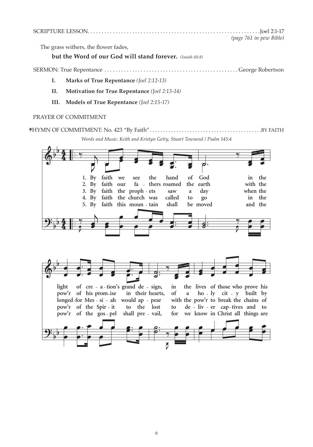(page 761 in pew Bible)

The grass withers, the flower fades,

but the Word of our God will stand forever. (Isaiah 40:8)

- I. Marks of True Repentance (Joel 2:12-13)
- II. Motivation for True Repentance (Joel 2:13-14)
- III. Models of True Repentance (Joel 2:15-17)

#### PRAYER OF COMMITMENT

Words and Music: Keith and Kristyn Getty, Stuart Townend / Psalm 145:4

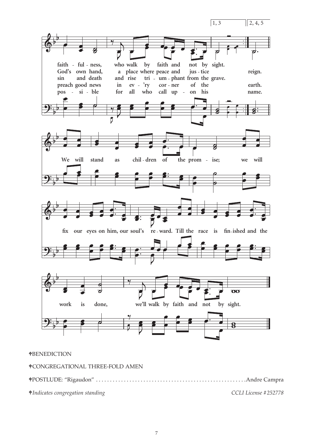

#### **\*BENEDICTION**

WCONGREGATIONAL THREE-FOLD AMEN

| *Indicates congregation standing | CCLI License #252778 |
|----------------------------------|----------------------|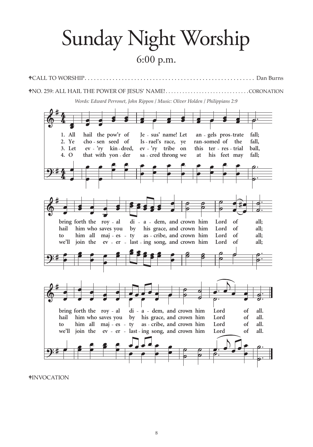# Sunday Night Worship 6:00 p.m.



**\*INVOCATION**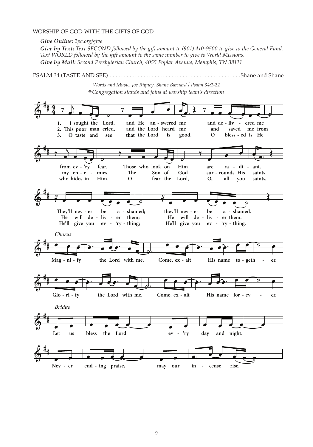#### WORSHIP OF GOD WITH THE GIFTS OF GOD

*Give Online: 2pc.org/give*

*Give by Text: Text SECOND followed by the gift amount to (901) 410-9500 to give to the General Fund. Text WORLD followed by the gift amount to the same number to give to World Missions. Give by Mail: Second Presbyterian Church, 4055 Poplar Avenue, Memphis, TN 38111*

PSALM 34 (TASTE AND SEE) . . . . . . . . . . . . . . . . . . . . . . . . . . . . . . . . . . . . . . . . . . . . . . Shane and Shane

*Words and Music: Joe Rigney, Shane Barnard / Psalm 34:1-22* W*Congregation stands and joins at worship team's direction*

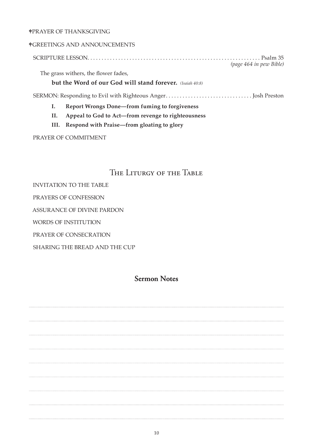#### **\*PRAYER OF THANKSGIVING**

#### WGREETINGS AND ANNOUNCEMENTS

|                                                                  | (page 464 in pew Bible) |  |
|------------------------------------------------------------------|-------------------------|--|
| The grass withers, the flower fades,                             |                         |  |
| <b>but the Word of our God will stand forever.</b> (Isgiah 40:8) |                         |  |
|                                                                  |                         |  |
| Report Wrongs Done-from fuming to forgiveness                    |                         |  |

- **II. Appeal to God to Act—from revenge to righteousness**
- **III. Respond with Praise—from gloating to glory**

PRAYER OF COMMITMENT

## THE LITURGY OF THE TABLE

INVITATION TO THE TABLE

PRAYERS OF CONFESSION

ASSURANCE OF DIVINE PARDON

WORDS OF INSTITUTION

PRAYER OF CONSECRATION

SHARING THE BREAD AND THE CUP

## **Sermon Notes**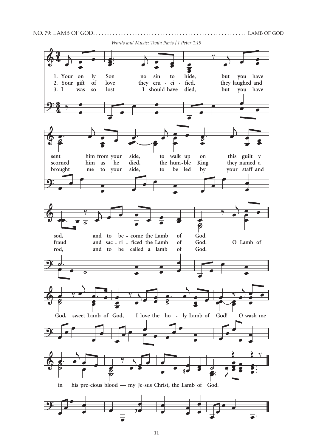

*Words and Music: Twila Paris / I Peter 1:19*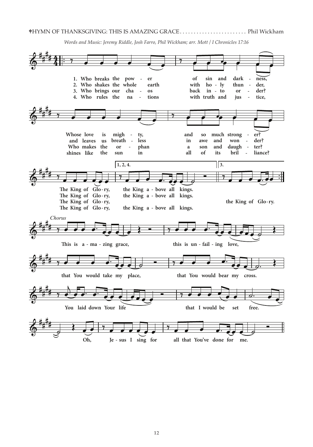Words and Music: Jeremy Riddle, Josh Farro, Phil Wickham; arr. Mott / I Chronicles 17:16

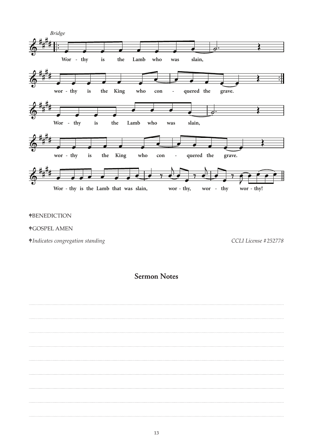

#### **\*BENEDICTION**

#### **\*GOSPEL AMEN**

\*Indicates congregation standing

CCLI License #252778

## **Sermon Notes**

. . . . . . . . . . . . . . . . . . . .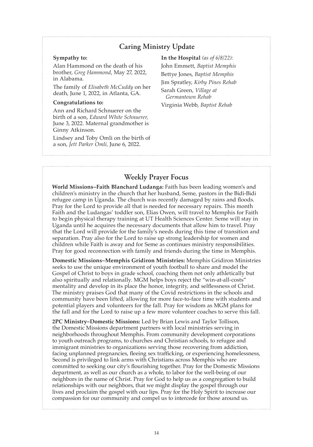## **Caring Ministry Update**

#### **Sympathy to:**

Alan Hammond on the death of his brother, *Greg Hammond*, May 27, 2022, in Alabama.

The family of *Elisabeth McCuddy* on her death, June 1, 2022, in Atlanta, GA.

#### **Congratulations to:**

Ann and Richard Schnuerer on the birth of a son, *Edward White Schnuerer,* June 3, 2022. Maternal grandmother is Ginny Atkinson.

Lindsey and Toby Omli on the birth of a son, *Jett Parker Omli,* June 6, 2022.

**In the Hospital** *(as of 6/8/22):* 

John Emmett, *Baptist Memphis* Bettye Jones, *Baptist Memphis* Jim Spratley, *Kirby Pines Rehab*  Sarah Green, *Village at Germantown Rehab* Virginia Webb, *Baptist Rehab*

## **Weekly Prayer Focus**

**World Missions–Faith Blanchard Ludanga:** Faith has been leading women's and children's ministry in the church that her husband, Seme, pastors in the Bidi-Bidi refugee camp in Uganda. The church was recently damaged by rains and floods. Pray for the Lord to provide all that is needed for necessary repairs. This month Faith and the Ludangas' toddler son, Elias Owen, will travel to Memphis for Faith to begin physical therapy training at UT Health Sciences Center. Seme will stay in Uganda until he acquires the necessary documents that allow him to travel. Pray that the Lord will provide for the family's needs during this time of transition and separation. Pray also for the Lord to raise up strong leadership for women and children while Faith is away and for Seme as continues ministry responsibilities. Pray for good reconnection with family and friends during the time in Memphis.

**Domestic Missions–Memphis Gridiron Ministries:** Memphis Gridiron Ministries seeks to use the unique environment of youth football to share and model the Gospel of Christ to boys in grade school, coaching them not only athletically but also spiritually and relationally. MGM helps boys reject the "win-at-all-costs" mentality and develop in its place the honor, integrity, and selflessness of Christ. The ministry praises God that many of the Covid restrictions in the schools and community have been lifted, allowing for more face-to-face time with students and potential players and volunteers for the fall. Pray for wisdom as MGM plans for the fall and for the Lord to raise up a few more volunteer coaches to serve this fall.

**2PC Ministry–Domestic Missions:** Led by Brian Lewis and Taylor Tollison, the Domestic Missions department partners with local ministries serving in neighborhoods throughout Memphis. From community development corporations to youth outreach programs, to churches and Christian schools, to refugee and immigrant ministries to organizations serving those recovering from addiction, facing unplanned pregnancies, fleeing sex trafficking, or experiencing homelessness, Second is privileged to link arms with Christians across Memphis who are committed to seeking our city's flourishing together. Pray for the Domestic Missions department, as well as our church as a whole, to labor for the well-being of our neighbors in the name of Christ. Pray for God to help us as a congregation to build relationships with our neighbors, that we might display the gospel through our lives and proclaim the gospel with our lips. Pray for the Holy Spirit to increase our compassion for our community and compel us to intercede for those around us.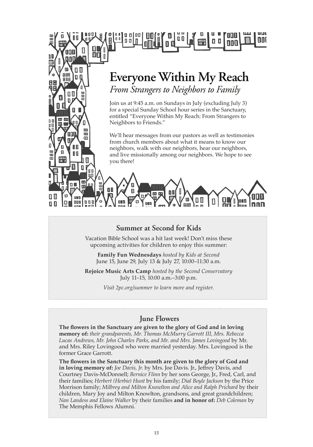# OD ( ПП

 $\mathbf{u}$ 988<br>888 Ū Л

> 00 D

пг

п E

 $\mathbf{C}$ 

O

п Ш

n n 000 С

 $001$ 

Ш ם ם<br>סום  $\overline{\mathbf{u}}$ 

m

ہ<br>3<br>11 O n

 $\mathbf{u}$ 

## **Everyone Within My Reach** *From Strangers to Neighbors to Family*

Join us at 9:45 a.m. on Sundays in July (excluding July 3) for a special Sunday School hour series in the Sanctuary, entitled "Everyone Within My Reach: From Strangers to Neighbors to Friends."

We'll hear messages from our pastors as well as testimonies from church members about what it means to know our neighbors, walk with our neighbors, hear our neighbors, and live missionally among our neighbors. We hope to see you there!

0 D

## **Summer at Second for Kids**

Vacation Bible School was a hit last week! Don't miss these upcoming activities for children to enjoy this summer:

**Family Fun Wednesdays** *hosted by Kids at Second* June 15, June 29, July 13 & July 27, 10:00–11:30 a.m.

**Rejoice Music Arts Camp** *hosted by the Second Conservatory* July 11–15, 10:00 a.m.–3:00 p.m.

*Visit 2pc.org/summer to learn more and register.*

## **June Flowers**

**The flowers in the Sanctuary are given to the glory of God and in loving memory of:** *their grandparents, Mr. Thomas McMurry Garrott III, Mrs. Rebecca Lucas Andrews, Mr. John Charles Parks, and Mr. and Mrs. James Lovingood* by Mr. and Mrs. Riley Lovingood who were married yesterday. Mrs. Lovingood is the former Grace Garrott.

**The flowers in the Sanctuary this month are given to the glory of God and in loving memory of:** *Joe Davis, Jr.* by Mrs. Joe Davis. Jr., Jeffrey Davis, and Courtney Davis-McDonnell; *Bernice Flinn* by her sons George, Jr., Fred, Carl, and their families; *Herbert (Herbie) Hunt* by his family; *Dial Boyle Jackson* by the Price Morrison family; *Milbrey and Milton Knowlton and Alice and Ralph Prichard* by their children, Mary Joy and Milton Knowlton, grandsons, and great grandchildren; *Nan Landess and Elaine Walker* by their families **and in honor of:** *Deb Coleman* by The Memphis Fellows Alumni.